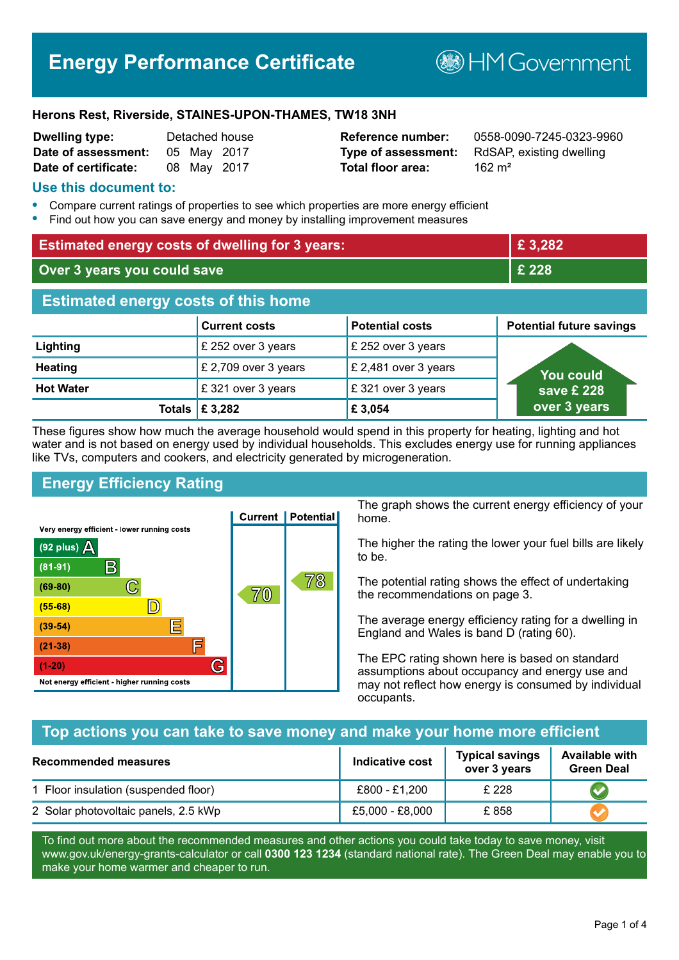# **Energy Performance Certificate**

**B**HM Government

#### **Herons Rest, Riverside, STAINES-UPON-THAMES, TW18 3NH**

| Dwelling type:       |             | Detached house |
|----------------------|-------------|----------------|
| Date of assessment:  | 05 May 2017 |                |
| Date of certificate: | 08 May 2017 |                |

# **Total floor area:** 162 m<sup>2</sup>

**Reference number:** 0558-0090-7245-0323-9960 **Type of assessment:** RdSAP, existing dwelling

#### **Use this document to:**

- **•** Compare current ratings of properties to see which properties are more energy efficient
- **•** Find out how you can save energy and money by installing improvement measures

| <b>Estimated energy costs of dwelling for 3 years:</b> |                                 | £3,282                 |                                 |
|--------------------------------------------------------|---------------------------------|------------------------|---------------------------------|
| Over 3 years you could save                            |                                 | £ 228                  |                                 |
| <b>Estimated energy costs of this home</b>             |                                 |                        |                                 |
|                                                        | <b>Current costs</b>            | <b>Potential costs</b> | <b>Potential future savings</b> |
| Lighting                                               | £ 252 over 3 years              | £ 252 over 3 years     |                                 |
| <b>Heating</b>                                         | £ 2,709 over 3 years            | £ 2,481 over 3 years   | <b>You could</b>                |
| <b>Hot Water</b>                                       | £321 over 3 years               | £321 over 3 years      | save $E$ 228                    |
|                                                        | Totals $\mathbf \epsilon$ 3,282 | £ 3,054                | over 3 years                    |

These figures show how much the average household would spend in this property for heating, lighting and hot water and is not based on energy used by individual households. This excludes energy use for running appliances like TVs, computers and cookers, and electricity generated by microgeneration.

# **Energy Efficiency Rating**



The graph shows the current energy efficiency of your home.

The higher the rating the lower your fuel bills are likely to be.

The potential rating shows the effect of undertaking the recommendations on page 3.

The average energy efficiency rating for a dwelling in England and Wales is band D (rating 60).

The EPC rating shown here is based on standard assumptions about occupancy and energy use and may not reflect how energy is consumed by individual occupants.

#### **Top actions you can take to save money and make your home more efficient**

| Recommended measures                 | Indicative cost | <b>Typical savings</b><br>over 3 years | <b>Available with</b><br><b>Green Deal</b> |
|--------------------------------------|-----------------|----------------------------------------|--------------------------------------------|
| 1 Floor insulation (suspended floor) | £800 - £1,200   | £ 228                                  |                                            |
| 2 Solar photovoltaic panels, 2.5 kWp | £5,000 - £8,000 | £858                                   |                                            |

To find out more about the recommended measures and other actions you could take today to save money, visit www.gov.uk/energy-grants-calculator or call **0300 123 1234** (standard national rate). The Green Deal may enable you to make your home warmer and cheaper to run.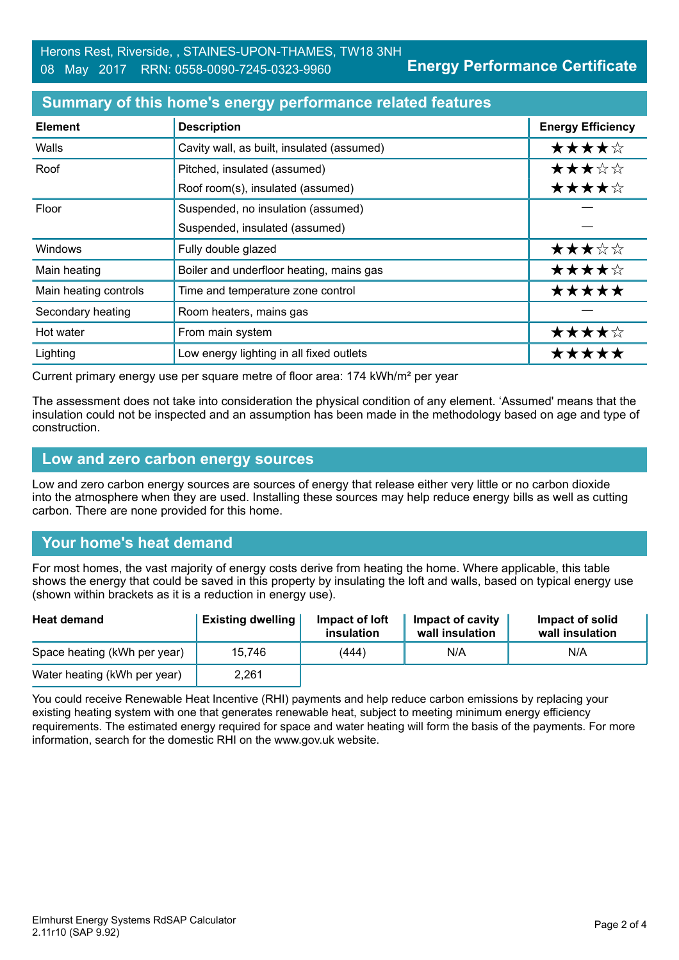## **Summary of this home's energy performance related features**

| <b>Element</b>        | <b>Description</b>                         | <b>Energy Efficiency</b> |
|-----------------------|--------------------------------------------|--------------------------|
| Walls                 | Cavity wall, as built, insulated (assumed) | ★★★★☆                    |
| Roof                  | Pitched, insulated (assumed)               | ★★★☆☆                    |
|                       | Roof room(s), insulated (assumed)          | ★★★★☆                    |
| Floor                 | Suspended, no insulation (assumed)         |                          |
|                       | Suspended, insulated (assumed)             |                          |
| Windows               | Fully double glazed                        | ★★★☆☆                    |
| Main heating          | Boiler and underfloor heating, mains gas   | ★★★★☆                    |
| Main heating controls | Time and temperature zone control          | *****                    |
| Secondary heating     | Room heaters, mains gas                    |                          |
| Hot water             | From main system                           | ★★★★☆                    |
| Lighting              | Low energy lighting in all fixed outlets   | *****                    |

Current primary energy use per square metre of floor area: 174 kWh/m² per year

The assessment does not take into consideration the physical condition of any element. 'Assumed' means that the insulation could not be inspected and an assumption has been made in the methodology based on age and type of construction.

#### **Low and zero carbon energy sources**

Low and zero carbon energy sources are sources of energy that release either very little or no carbon dioxide into the atmosphere when they are used. Installing these sources may help reduce energy bills as well as cutting carbon. There are none provided for this home.

# **Your home's heat demand**

For most homes, the vast majority of energy costs derive from heating the home. Where applicable, this table shows the energy that could be saved in this property by insulating the loft and walls, based on typical energy use (shown within brackets as it is a reduction in energy use).

| <b>Heat demand</b>           | <b>Existing dwelling</b> | Impact of loft<br>insulation | Impact of cavity<br>wall insulation | Impact of solid<br>wall insulation |
|------------------------------|--------------------------|------------------------------|-------------------------------------|------------------------------------|
| Space heating (kWh per year) | 15.746                   | (444)                        | N/A                                 | N/A                                |
| Water heating (kWh per year) | 2,261                    |                              |                                     |                                    |

You could receive Renewable Heat Incentive (RHI) payments and help reduce carbon emissions by replacing your existing heating system with one that generates renewable heat, subject to meeting minimum energy efficiency requirements. The estimated energy required for space and water heating will form the basis of the payments. For more information, search for the domestic RHI on the www.gov.uk website.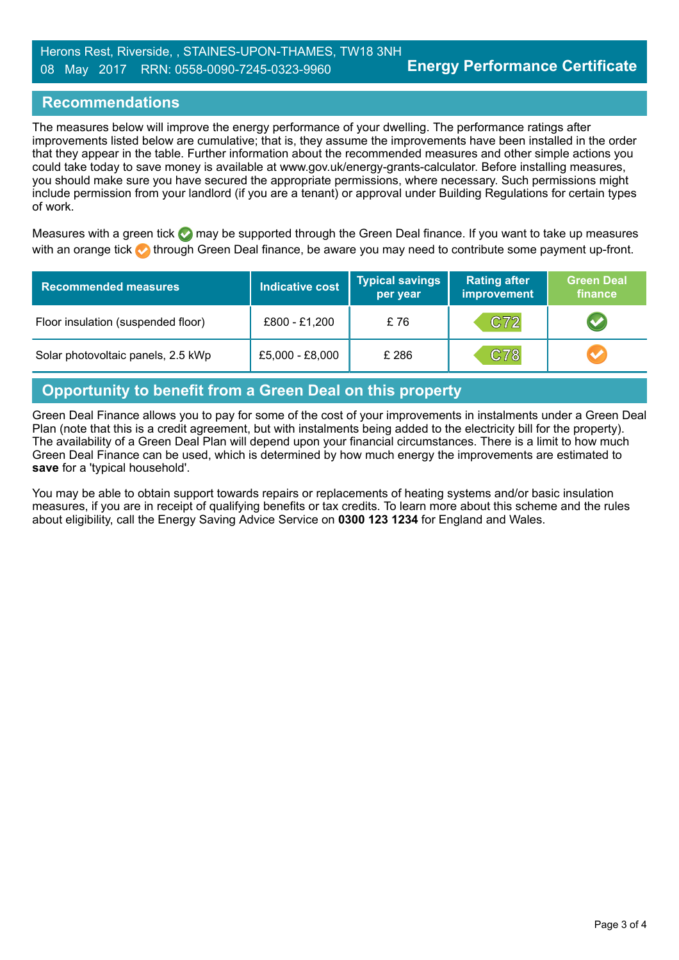# **Recommendations**

The measures below will improve the energy performance of your dwelling. The performance ratings after improvements listed below are cumulative; that is, they assume the improvements have been installed in the order that they appear in the table. Further information about the recommended measures and other simple actions you could take today to save money is available at www.gov.uk/energy-grants-calculator. Before installing measures, you should make sure you have secured the appropriate permissions, where necessary. Such permissions might include permission from your landlord (if you are a tenant) or approval under Building Regulations for certain types of work.

Measures with a green tick  $\bullet$  may be supported through the Green Deal finance. If you want to take up measures with an orange tick **th** through Green Deal finance, be aware you may need to contribute some payment up-front.

| <b>Recommended measures</b>        | Indicative cost | <b>Typical savings</b><br>per year | <b>Rating after</b><br>improvement | <b>Green Deal</b><br>finance |
|------------------------------------|-----------------|------------------------------------|------------------------------------|------------------------------|
| Floor insulation (suspended floor) | £800 - £1,200   | £76                                | C72                                |                              |
| Solar photovoltaic panels, 2.5 kWp | £5,000 - £8,000 | £ 286                              | C78                                |                              |

# **Opportunity to benefit from a Green Deal on this property**

Green Deal Finance allows you to pay for some of the cost of your improvements in instalments under a Green Deal Plan (note that this is a credit agreement, but with instalments being added to the electricity bill for the property). The availability of a Green Deal Plan will depend upon your financial circumstances. There is a limit to how much Green Deal Finance can be used, which is determined by how much energy the improvements are estimated to **save** for a 'typical household'.

You may be able to obtain support towards repairs or replacements of heating systems and/or basic insulation measures, if you are in receipt of qualifying benefits or tax credits. To learn more about this scheme and the rules about eligibility, call the Energy Saving Advice Service on **0300 123 1234** for England and Wales.